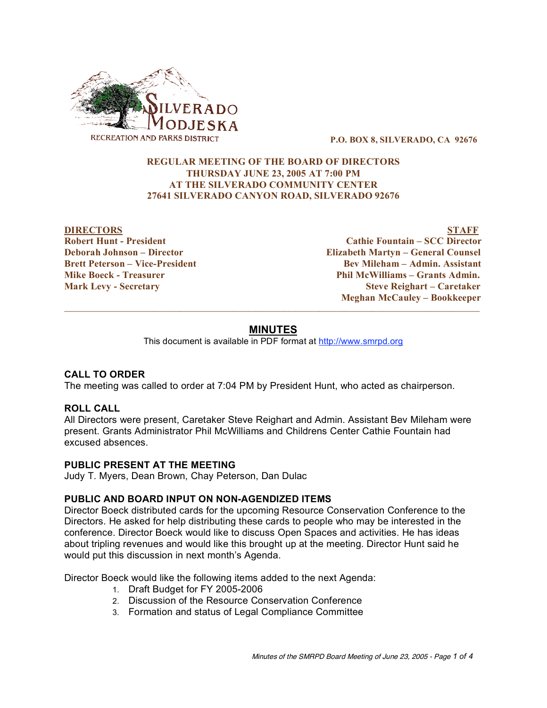

**P.O. BOX 8, SILVERADO, CA 92676**

## **REGULAR MEETING OF THE BOARD OF DIRECTORS THURSDAY JUNE 23, 2005 AT 7:00 PM AT THE SILVERADO COMMUNITY CENTER 27641 SILVERADO CANYON ROAD, SILVERADO 92676**

**DIRECTORS STAFF Robert Hunt - President Cathie Fountain – SCC Director Deborah Johnson – Director Elizabeth Martyn – General Counsel Brett Peterson – Vice-President Bev Mileham – Admin. Assistant Mike Boeck - Treasurer Phil McWilliams – Grants Admin. Mark Levy - Secretary Steve Reighart – Caretaker Meghan McCauley – Bookkeeper**  $\_$  ,  $\_$  ,  $\_$  ,  $\_$  ,  $\_$  ,  $\_$  ,  $\_$  ,  $\_$  ,  $\_$  ,  $\_$  ,  $\_$  ,  $\_$  ,  $\_$  ,  $\_$  ,  $\_$  ,  $\_$  ,  $\_$  ,  $\_$  ,  $\_$  ,  $\_$  ,  $\_$  ,  $\_$  ,  $\_$  ,  $\_$  ,  $\_$  ,  $\_$  ,  $\_$  ,  $\_$  ,  $\_$  ,  $\_$  ,  $\_$  ,  $\_$  ,  $\_$  ,  $\_$  ,  $\_$  ,  $\_$  ,  $\_$  ,

# **MINUTES**

This document is available in PDF format at http://www.smrpd.org

# **CALL TO ORDER**

The meeting was called to order at 7:04 PM by President Hunt, who acted as chairperson.

#### **ROLL CALL**

All Directors were present, Caretaker Steve Reighart and Admin. Assistant Bev Mileham were present. Grants Administrator Phil McWilliams and Childrens Center Cathie Fountain had excused absences.

#### **PUBLIC PRESENT AT THE MEETING**

Judy T. Myers, Dean Brown, Chay Peterson, Dan Dulac

#### **PUBLIC AND BOARD INPUT ON NON-AGENDIZED ITEMS**

Director Boeck distributed cards for the upcoming Resource Conservation Conference to the Directors. He asked for help distributing these cards to people who may be interested in the conference. Director Boeck would like to discuss Open Spaces and activities. He has ideas about tripling revenues and would like this brought up at the meeting. Director Hunt said he would put this discussion in next month's Agenda.

Director Boeck would like the following items added to the next Agenda:

- 1. Draft Budget for FY 2005-2006
- 2. Discussion of the Resource Conservation Conference
- 3. Formation and status of Legal Compliance Committee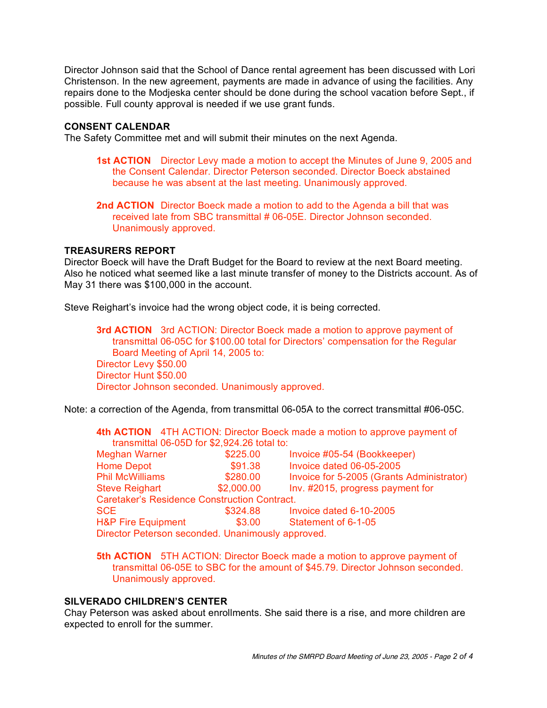Director Johnson said that the School of Dance rental agreement has been discussed with Lori Christenson. In the new agreement, payments are made in advance of using the facilities. Any repairs done to the Modjeska center should be done during the school vacation before Sept., if possible. Full county approval is needed if we use grant funds.

#### **CONSENT CALENDAR**

The Safety Committee met and will submit their minutes on the next Agenda.

**1st ACTION** Director Levy made a motion to accept the Minutes of June 9, 2005 and the Consent Calendar. Director Peterson seconded. Director Boeck abstained because he was absent at the last meeting. Unanimously approved.

**2nd ACTION** Director Boeck made a motion to add to the Agenda a bill that was received late from SBC transmittal # 06-05E. Director Johnson seconded. Unanimously approved.

#### **TREASURERS REPORT**

Director Boeck will have the Draft Budget for the Board to review at the next Board meeting. Also he noticed what seemed like a last minute transfer of money to the Districts account. As of May 31 there was \$100,000 in the account.

Steve Reighart's invoice had the wrong object code, it is being corrected.

**3rd ACTION** 3rd ACTION: Director Boeck made a motion to approve payment of transmittal 06-05C for \$100.00 total for Directors' compensation for the Regular Board Meeting of April 14, 2005 to: Director Levy \$50.00 Director Hunt \$50.00 Director Johnson seconded. Unanimously approved.

Note: a correction of the Agenda, from transmittal 06-05A to the correct transmittal #06-05C.

|                                               |  |          |                             | 4th ACTION 4TH ACTION: Director Boeck made a motion to approve payment of |  |  |
|-----------------------------------------------|--|----------|-----------------------------|---------------------------------------------------------------------------|--|--|
| transmittal $06-05D$ for \$2,924.26 total to: |  |          |                             |                                                                           |  |  |
| Meghan Warner                                 |  | \$225.00 | Invoice #05-54 (Bookkeeper) |                                                                           |  |  |

| <b>IVICULIAII VVALIICI</b>                          | <b>JAZZU.UU</b> | <b>IIIVUILE #UJ-J4 (DUUNNEEDEI)</b>       |  |
|-----------------------------------------------------|-----------------|-------------------------------------------|--|
| <b>Home Depot</b>                                   | \$91.38         | Invoice dated 06-05-2005                  |  |
| <b>Phil McWilliams</b>                              | \$280.00        | Invoice for 5-2005 (Grants Administrator) |  |
| <b>Steve Reighart</b>                               | \$2,000.00      | Inv. #2015, progress payment for          |  |
| <b>Caretaker's Residence Construction Contract.</b> |                 |                                           |  |
| <b>SCE</b>                                          | \$324.88        | Invoice dated 6-10-2005                   |  |
| <b>H&amp;P Fire Equipment</b>                       | \$3.00          | Statement of 6-1-05                       |  |
| Director Peterson seconded. Unanimously approved.   |                 |                                           |  |

**5th ACTION** 5TH ACTION: Director Boeck made a motion to approve payment of transmittal 06-05E to SBC for the amount of \$45.79. Director Johnson seconded. Unanimously approved.

## **SILVERADO CHILDREN'S CENTER**

Chay Peterson was asked about enrollments. She said there is a rise, and more children are expected to enroll for the summer.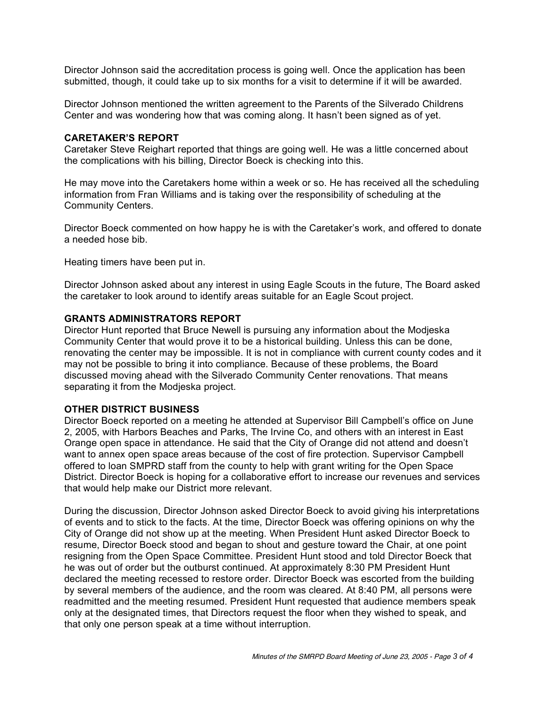Director Johnson said the accreditation process is going well. Once the application has been submitted, though, it could take up to six months for a visit to determine if it will be awarded.

Director Johnson mentioned the written agreement to the Parents of the Silverado Childrens Center and was wondering how that was coming along. It hasn't been signed as of yet.

## **CARETAKER'S REPORT**

Caretaker Steve Reighart reported that things are going well. He was a little concerned about the complications with his billing, Director Boeck is checking into this.

He may move into the Caretakers home within a week or so. He has received all the scheduling information from Fran Williams and is taking over the responsibility of scheduling at the Community Centers.

Director Boeck commented on how happy he is with the Caretaker's work, and offered to donate a needed hose bib.

Heating timers have been put in.

Director Johnson asked about any interest in using Eagle Scouts in the future, The Board asked the caretaker to look around to identify areas suitable for an Eagle Scout project.

#### **GRANTS ADMINISTRATORS REPORT**

Director Hunt reported that Bruce Newell is pursuing any information about the Modjeska Community Center that would prove it to be a historical building. Unless this can be done, renovating the center may be impossible. It is not in compliance with current county codes and it may not be possible to bring it into compliance. Because of these problems, the Board discussed moving ahead with the Silverado Community Center renovations. That means separating it from the Modjeska project.

#### **OTHER DISTRICT BUSINESS**

Director Boeck reported on a meeting he attended at Supervisor Bill Campbell's office on June 2, 2005, with Harbors Beaches and Parks, The Irvine Co, and others with an interest in East Orange open space in attendance. He said that the City of Orange did not attend and doesn't want to annex open space areas because of the cost of fire protection. Supervisor Campbell offered to loan SMPRD staff from the county to help with grant writing for the Open Space District. Director Boeck is hoping for a collaborative effort to increase our revenues and services that would help make our District more relevant.

During the discussion, Director Johnson asked Director Boeck to avoid giving his interpretations of events and to stick to the facts. At the time, Director Boeck was offering opinions on why the City of Orange did not show up at the meeting. When President Hunt asked Director Boeck to resume, Director Boeck stood and began to shout and gesture toward the Chair, at one point resigning from the Open Space Committee. President Hunt stood and told Director Boeck that he was out of order but the outburst continued. At approximately 8:30 PM President Hunt declared the meeting recessed to restore order. Director Boeck was escorted from the building by several members of the audience, and the room was cleared. At 8:40 PM, all persons were readmitted and the meeting resumed. President Hunt requested that audience members speak only at the designated times, that Directors request the floor when they wished to speak, and that only one person speak at a time without interruption.